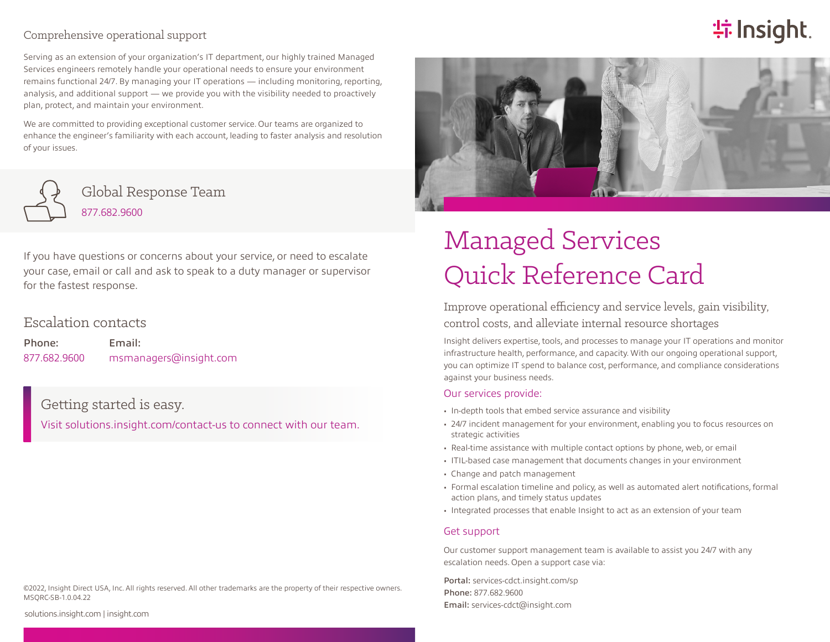#### Comprehensive operational support

Serving as an extension of your organization's IT department, our highly trained Managed Services engineers remotely handle your operational needs to ensure your environment remains functional 24/7. By managing your IT operations — including monitoring, reporting, analysis, and additional support — we provide you with the visibility needed to proactively plan, protect, and maintain your environment.

We are committed to providing exceptional customer service. Our teams are organized to enhance the engineer's familiarity with each account, leading to faster analysis and resolution of your issues.



Global Response Team 877.682.9600

If you have questions or concerns about your service, or need to escalate your case, email or call and ask to speak to a duty manager or supervisor for the fastest response.

### Escalation contacts

Phone: 877.682.9600 Email: msmanagers@insight.com

Getting started is easy.

[Visit solutions.insight.com/contact-us to connect with our team.](https://solutions.insight.com/About/Contact-Us?refcode=solutionbrief)

#### ©2022, Insight Direct USA, Inc. All rights reserved. All other trademarks are the property of their respective owners. MSQRC-SB-1.0.04.22



**特 Insight** 

# Managed Services Quick Reference Card

Improve operational efficiency and service levels, gain visibility, control costs, and alleviate internal resource shortages

Insight delivers expertise, tools, and processes to manage your IT operations and monitor infrastructure health, performance, and capacity. With our ongoing operational support, you can optimize IT spend to balance cost, performance, and compliance considerations against your business needs.

#### Our services provide:

- In-depth tools that embed service assurance and visibility
- 24/7 incident management for your environment, enabling you to focus resources on strategic activities
- Real-time assistance with multiple contact options by phone, web, or email
- ITIL-based case management that documents changes in your environment
- Change and patch management
- Formal escalation timeline and policy, as well as automated alert notifications, formal action plans, and timely status updates
- Integrated processes that enable Insight to act as an extension of your team

#### Get support

Our customer support management team is available to assist you 24/7 with any escalation needs. Open a support case via:

Portal: [services-cdct.insight.com/sp](https://services-cdct.insight.com/sp) Phone: 877.682.9600 Email: [services-cdct@insight.com](mailto:  services-cdct@insight.com)

[solutions.insight.com](https://solutions.insight.com/) | [insight.com](https://www.insight.com/en_US/home.html)